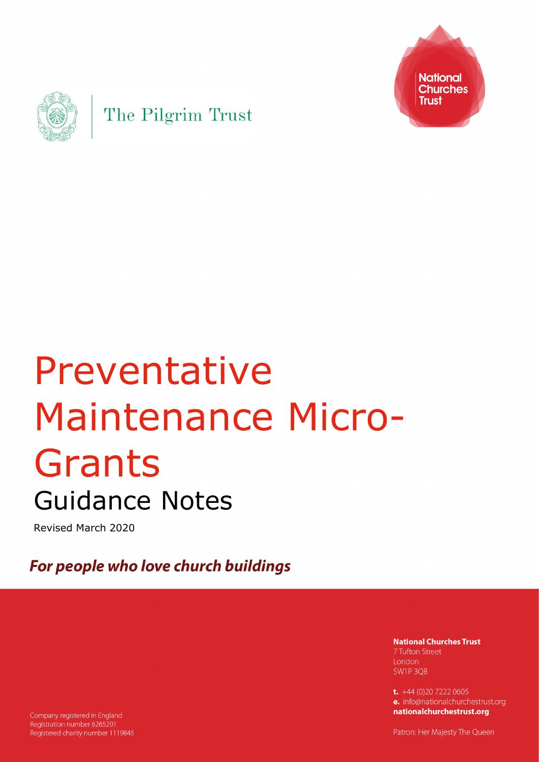



# Preventative Maintenance Micro-Grants Guidance Notes

Revised March 2020

For people who love church buildings

**National Churches Trust** 7 Tufton Street London SW1P 3OB

t.  $+44$  (0)20 7222 0605 e. info@nationalchurchestrust.org nationalchurchestrust.org

Company registered in England Registration number 6265201 Registered charity number 1119845

Patron: Her Majesty The Queen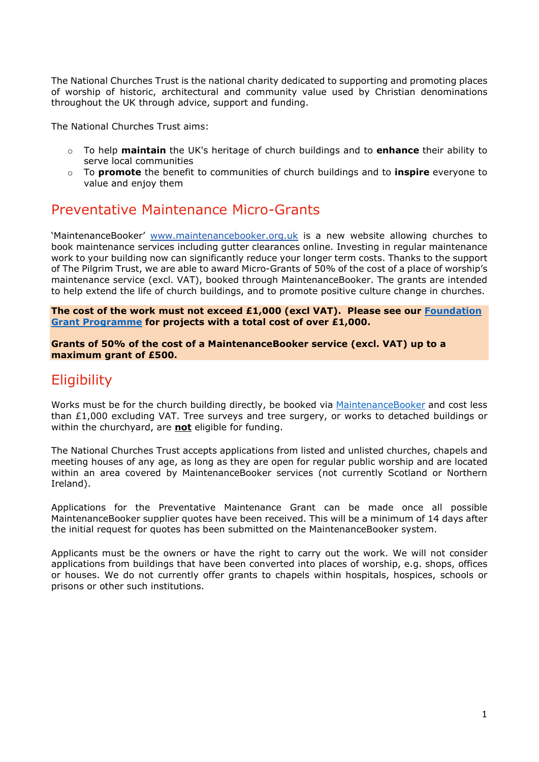The National Churches Trust is the national charity dedicated to supporting and promoting places of worship of historic, architectural and community value used by Christian denominations throughout the UK through advice, support and funding.

The National Churches Trust aims:

- o To help **maintain** the UK's heritage of church buildings and to **enhance** their ability to serve local communities
- o To **promote** the benefit to communities of church buildings and to **inspire** everyone to value and enjoy them

## Preventative Maintenance Micro-Grants

'MaintenanceBooker' [www.maintenancebooker.org.uk](http://www.maintenancebooker.org.uk/) is a new website allowing churches to book maintenance services including gutter clearances online. Investing in regular maintenance work to your building now can significantly reduce your longer term costs. Thanks to the support of The Pilgrim Trust, we are able to award Micro-Grants of 50% of the cost of a place of worship's maintenance service (excl. VAT), booked through MaintenanceBooker. The grants are intended to help extend the life of church buildings, and to promote positive culture change in churches.

**The cost of the work must not exceed £1,000 (excl VAT). Please see our [Foundation](https://www.nationalchurchestrust.org/foundationgrants) Grant [Programme](https://www.nationalchurchestrust.org/foundationgrants) for projects with a total cost of over £1,000.** 

**Grants of 50% of the cost of a MaintenanceBooker service (excl. VAT) up to a maximum grant of £500.**

# **Eligibility**

Works must be for the church building directly, be booked via [MaintenanceBooker](https://www.maintenancebooker.org.uk/) and cost less than £1,000 excluding VAT. Tree surveys and tree surgery, or works to detached buildings or within the churchyard, are **not** eligible for funding.

The National Churches Trust accepts applications from listed and unlisted churches, chapels and meeting houses of any age, as long as they are open for regular public worship and are located within an area covered by MaintenanceBooker services (not currently Scotland or Northern Ireland).

Applications for the Preventative Maintenance Grant can be made once all possible MaintenanceBooker supplier quotes have been received. This will be a minimum of 14 days after the initial request for quotes has been submitted on the MaintenanceBooker system.

Applicants must be the owners or have the right to carry out the work. We will not consider applications from buildings that have been converted into places of worship, e.g. shops, offices or houses. We do not currently offer grants to chapels within hospitals, hospices, schools or prisons or other such institutions.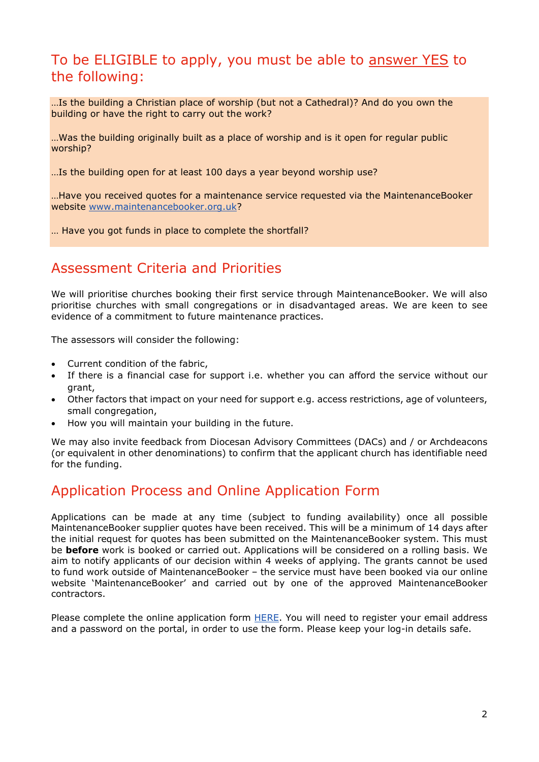## To be ELIGIBLE to apply, you must be able to answer YES to the following:

…Is the building a Christian place of worship (but not a Cathedral)? And do you own the building or have the right to carry out the work?

…Was the building originally built as a place of worship and is it open for regular public worship?

…Is the building open for at least 100 days a year beyond worship use?

…Have you received quotes for a maintenance service requested via the MaintenanceBooker website [www.maintenancebooker.org.uk?](http://www.maintenancebooker.org.uk/)

… Have you got funds in place to complete the shortfall?

## Assessment Criteria and Priorities

We will prioritise churches booking their first service through MaintenanceBooker. We will also prioritise churches with small congregations or in disadvantaged areas. We are keen to see evidence of a commitment to future maintenance practices.

The assessors will consider the following:

- Current condition of the fabric,
- If there is a financial case for support i.e. whether you can afford the service without our grant,
- Other factors that impact on your need for support e.g. access restrictions, age of volunteers, small congregation,
- How you will maintain your building in the future.

We may also invite feedback from Diocesan Advisory Committees (DACs) and / or Archdeacons (or equivalent in other denominations) to confirm that the applicant church has identifiable need for the funding.

## Application Process and Online Application Form

Applications can be made at any time (subject to funding availability) once all possible MaintenanceBooker supplier quotes have been received. This will be a minimum of 14 days after the initial request for quotes has been submitted on the MaintenanceBooker system. This must be **before** work is booked or carried out. Applications will be considered on a rolling basis. We aim to notify applicants of our decision within 4 weeks of applying. The grants cannot be used to fund work outside of MaintenanceBooker – the service must have been booked via our online website 'MaintenanceBooker' and carried out by one of the approved MaintenanceBooker contractors.

Please complete the online application form [HERE.](https://applications.nationalchurchestrust.org/micro/) You will need to register your email address and a password on the portal, in order to use the form. Please keep your log-in details safe.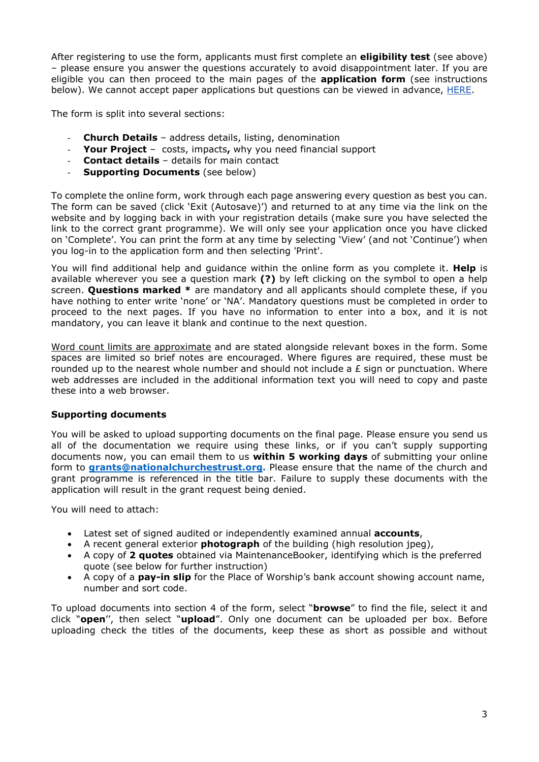After registering to use the form, applicants must first complete an **eligibility test** (see above) – please ensure you answer the questions accurately to avoid disappointment later. If you are eligible you can then proceed to the main pages of the **application form** (see instructions below). We cannot accept paper applications but questions can be viewed in advance, [HERE.](https://applications.nationalchurchestrust.org/micro/ola1allq.pl)

The form is split into several sections:

- **Church Details** address details, listing, denomination
- **Your Project**  costs, impacts**,** why you need financial support
- **Contact details**  details for main contact
- **Supporting Documents** (see below)

To complete the online form, work through each page answering every question as best you can. The form can be saved (click 'Exit (Autosave)') and returned to at any time via the link on the website and by logging back in with your registration details (make sure you have selected the link to the correct grant programme). We will only see your application once you have clicked on 'Complete'. You can print the form at any time by selecting 'View' (and not 'Continue') when you log-in to the application form and then selecting 'Print'.

You will find additional help and guidance within the online form as you complete it. **Help** is available wherever you see a question mark **(?)** by left clicking on the symbol to open a help screen. **Questions marked \*** are mandatory and all applicants should complete these, if you have nothing to enter write 'none' or 'NA'. Mandatory questions must be completed in order to proceed to the next pages. If you have no information to enter into a box, and it is not mandatory, you can leave it blank and continue to the next question.

Word count limits are approximate and are stated alongside relevant boxes in the form. Some spaces are limited so brief notes are encouraged. Where figures are required, these must be rounded up to the nearest whole number and should not include a  $E$  sign or punctuation. Where web addresses are included in the additional information text you will need to copy and paste these into a web browser.

#### **Supporting documents**

You will be asked to upload supporting documents on the final page. Please ensure you send us all of the documentation we require using these links, or if you can't supply supporting documents now, you can email them to us **within 5 working days** of submitting your online form to **[grants@nationalchurchestrust.org.](mailto:grants@nationalchurchestrust.org)** Please ensure that the name of the church and grant programme is referenced in the title bar. Failure to supply these documents with the application will result in the grant request being denied.

You will need to attach:

- Latest set of signed audited or independently examined annual **accounts**,
- A recent general exterior **photograph** of the building (high resolution jpeg),
- A copy of **2 quotes** obtained via MaintenanceBooker, identifying which is the preferred quote (see below for further instruction)
- A copy of a **pay-in slip** for the Place of Worship's bank account showing account name, number and sort code.

To upload documents into section 4 of the form, select "**browse**" to find the file, select it and click "**open**'', then select "**upload**". Only one document can be uploaded per box. Before uploading check the titles of the documents, keep these as short as possible and without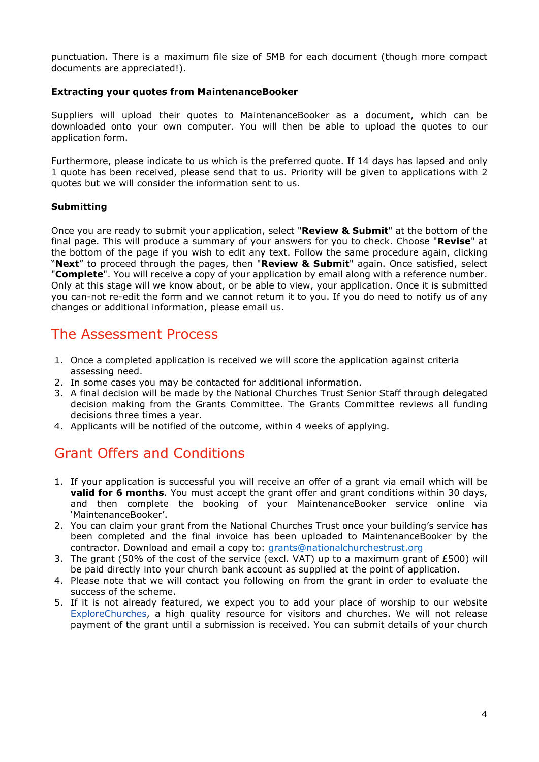punctuation. There is a maximum file size of 5MB for each document (though more compact documents are appreciated!).

#### **Extracting your quotes from MaintenanceBooker**

Suppliers will upload their quotes to MaintenanceBooker as a document, which can be downloaded onto your own computer. You will then be able to upload the quotes to our application form.

Furthermore, please indicate to us which is the preferred quote. If 14 days has lapsed and only 1 quote has been received, please send that to us. Priority will be given to applications with 2 quotes but we will consider the information sent to us.

#### **Submitting**

Once you are ready to submit your application, select "**Review & Submit**" at the bottom of the final page. This will produce a summary of your answers for you to check. Choose "**Revise**" at the bottom of the page if you wish to edit any text. Follow the same procedure again, clicking "**Next**" to proceed through the pages, then "**Review & Submit**" again. Once satisfied, select "**Complete**". You will receive a copy of your application by email along with a reference number. Only at this stage will we know about, or be able to view, your application. Once it is submitted you can-not re-edit the form and we cannot return it to you. If you do need to notify us of any changes or additional information, please email us.

## The Assessment Process

- 1. Once a completed application is received we will score the application against criteria assessing need.
- 2. In some cases you may be contacted for additional information.
- 3. A final decision will be made by the National Churches Trust Senior Staff through delegated decision making from the Grants Committee. The Grants Committee reviews all funding decisions three times a year.
- 4. Applicants will be notified of the outcome, within 4 weeks of applying.

# Grant Offers and Conditions

- 1. If your application is successful you will receive an offer of a grant via email which will be **valid for 6 months**. You must accept the grant offer and grant conditions within 30 days, and then complete the booking of your MaintenanceBooker service online via 'MaintenanceBooker'.
- 2. You can claim your grant from the National Churches Trust once your building's service has been completed and the final invoice has been uploaded to MaintenanceBooker by the contractor. Download and email a copy to: [grants@nationalchurchestrust.org](mailto:grants@nationalchurchestrust.org)
- 3. The grant (50% of the cost of the service (excl. VAT) up to a maximum grant of £500) will be paid directly into your church bank account as supplied at the point of application.
- 4. Please note that we will contact you following on from the grant in order to evaluate the success of the scheme.
- 5. If it is not already featured, we expect you to add your place of worship to our website [ExploreChurches,](http://www.explorechurches.org/) a high quality resource for visitors and churches. We will not release payment of the grant until a submission is received. You can submit details of your church